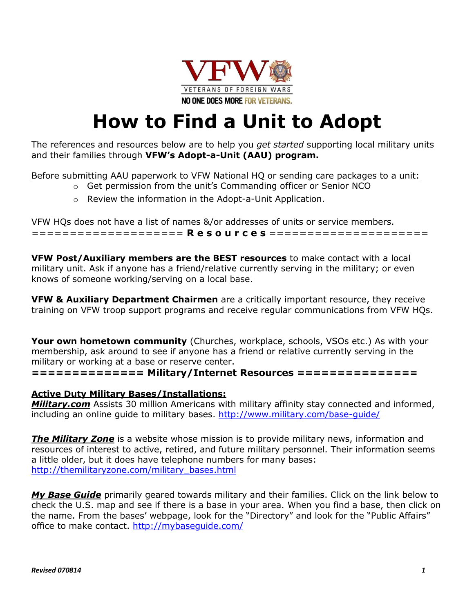

## **How to Find a Unit to Adopt**

The references and resources below are to help you *get started* supporting local military units and their families through **VFW's Adopt-a-Unit (AAU) program.**

Before submitting AAU paperwork to VFW National HQ or sending care packages to a unit:

- o Get permission from the unit's Commanding officer or Senior NCO
- o Review the information in the Adopt-a-Unit Application.

VFW HQs does not have a list of names &/or addresses of units or service members. ==================== **R e s o u r c e s** =====================

**VFW Post/Auxiliary members are the BEST resources** to make contact with a local military unit. Ask if anyone has a friend/relative currently serving in the military; or even knows of someone working/serving on a local base.

**VFW & Auxiliary Department Chairmen** are a critically important resource, they receive training on VFW troop support programs and receive regular communications from VFW HQs.

**Your own hometown community** (Churches, workplace, schools, VSOs etc.) As with your membership, ask around to see if anyone has a friend or relative currently serving in the military or working at a base or reserve center.

**============== Military/Internet Resources ===============** 

## **Active Duty Military Bases/Installations:**

*Military.com* Assists 30 million Americans with military affinity stay connected and informed, including an online guide to military bases.<http://www.military.com/base-guide/>

*The Military Zone* is a website whose mission is to provide military news, information and resources of interest to active, retired, and future military personnel. Their information seems a little older, but it does have telephone numbers for many bases: [http://themilitaryzone.com/military\\_bases.html](http://themilitaryzone.com/military_bases.html)

*My Base Guide* primarily geared towards military and their families. Click on the link below to check the U.S. map and see if there is a base in your area. When you find a base, then click on the name. From the bases' webpage, look for the "Directory" and look for the "Public Affairs" office to make contact.<http://mybaseguide.com/>